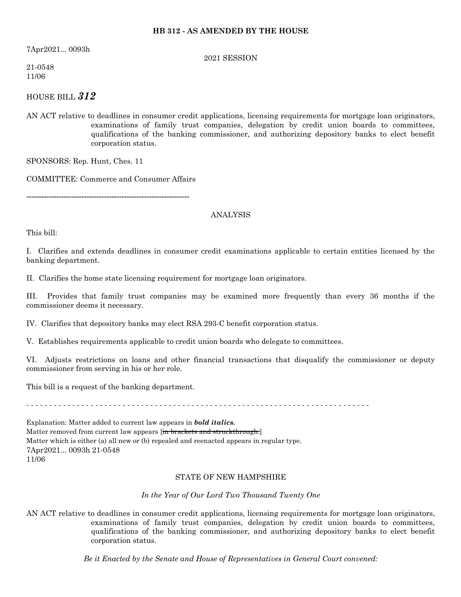## **HB 312 - AS AMENDED BY THE HOUSE**

7Apr2021... 0093h

#### 2021 SESSION

21-0548 11/06

HOUSE BILL *312*

AN ACT relative to deadlines in consumer credit applications, licensing requirements for mortgage loan originators, examinations of family trust companies, delegation by credit union boards to committees, qualifications of the banking commissioner, and authorizing depository banks to elect benefit corporation status.

SPONSORS: Rep. Hunt, Ches. 11

COMMITTEE: Commerce and Consumer Affairs

-----------------------------------------------------------------

### ANALYSIS

This bill:

I. Clarifies and extends deadlines in consumer credit examinations applicable to certain entities licensed by the banking department.

II. Clarifies the home state licensing requirement for mortgage loan originators.

III. Provides that family trust companies may be examined more frequently than every 36 months if the commissioner deems it necessary.

IV. Clarifies that depository banks may elect RSA 293-C benefit corporation status.

V. Establishes requirements applicable to credit union boards who delegate to committees.

VI. Adjusts restrictions on loans and other financial transactions that disqualify the commissioner or deputy commissioner from serving in his or her role.

This bill is a request of the banking department.

- - - - - - - - - - - - - - - - - - - - - - - - - - - - - - - - - - - - - - - - - - - - - - - - - - - - - - - - - - - - - - - - - - - - - - - - - - -

Explanation: Matter added to current law appears in *bold italics.* Matter removed from current law appears [in brackets and struckthrough.] Matter which is either (a) all new or (b) repealed and reenacted appears in regular type. 7Apr2021... 0093h 21-0548 11/06

### STATE OF NEW HAMPSHIRE

### *In the Year of Our Lord Two Thousand Twenty One*

AN ACT relative to deadlines in consumer credit applications, licensing requirements for mortgage loan originators, examinations of family trust companies, delegation by credit union boards to committees, qualifications of the banking commissioner, and authorizing depository banks to elect benefit corporation status.

*Be it Enacted by the Senate and House of Representatives in General Court convened:*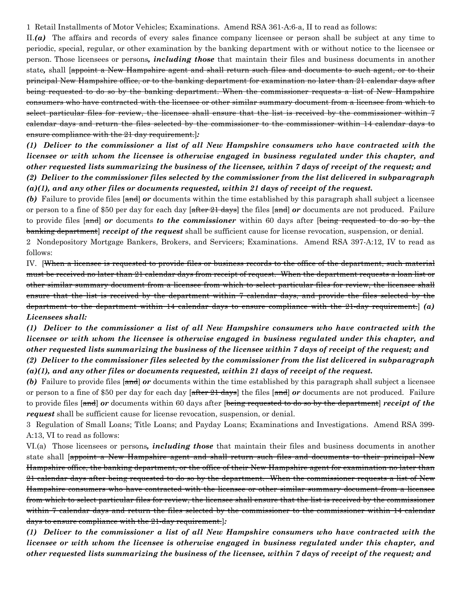1 Retail Installments of Motor Vehicles; Examinations. Amend RSA 361-A:6-a, II to read as follows:

II.*(a)* The affairs and records of every sales finance company licensee or person shall be subject at any time to periodic, special, regular, or other examination by the banking department with or without notice to the licensee or person. Those licensees or persons*, including those* that maintain their files and business documents in another state*,* shall [appoint a New Hampshire agent and shall return such files and documents to such agent, or to their principal New Hampshire office, or to the banking department for examination no later than 21 calendar days after being requested to do so by the banking department. When the commissioner requests a list of New Hampshire consumers who have contracted with the licensee or other similar summary document from a licensee from which to select particular files for review, the licensee shall ensure that the list is received by the commissioner within 7 calendar days and return the files selected by the commissioner to the commissioner within 14 calendar days to ensure compliance with the 21 day requirement.]*:*

*(1) Deliver to the commissioner a list of all New Hampshire consumers who have contracted with the licensee or with whom the licensee is otherwise engaged in business regulated under this chapter, and* other requested lists summarizing the business of the licensee, within 7 days of receipt of the request; and *(2) Deliver to the commissioner files selected by the commissioner from the list delivered in subparagraph (a)(1), and any other files or documents requested, within 21 days of receipt of the request.*

*(b)* Failure to provide files [and] *or* documents within the time established by this paragraph shall subject a licensee or person to a fine of \$50 per day for each day [after 21 days] the files [and] *or* documents are not produced. Failure to provide files [and] *or* documents *to the commissioner* within 60 days after [being requested to do so by the banking department] *receipt of the request* shall be sufficient cause for license revocation, suspension, or denial.

2 Nondepository Mortgage Bankers, Brokers, and Servicers; Examinations. Amend RSA 397-A:12, IV to read as follows:

IV. [When a licensee is requested to provide files or business records to the office of the department, such material must be received no later than 21 calendar days from receipt of request. When the department requests a loan list or other similar summary document from a licensee from which to select particular files for review, the licensee shall ensure that the list is received by the department within 7 calendar days, and provide the files selected by the department to the department within 14 calendar days to ensure compliance with the 21-day requirement.] *(a) Licensees shall:*

*(1) Deliver to the commissioner a list of all New Hampshire consumers who have contracted with the licensee or with whom the licensee is otherwise engaged in business regulated under this chapter, and* other requested lists summarizing the business of the licensee within 7 days of receipt of the request; and *(2) Deliver to the commissioner files selected by the commissioner from the list delivered in subparagraph (a)(1), and any other files or documents requested, within 21 days of receipt of the request.*

*(b)* Failure to provide files [and] *or* documents within the time established by this paragraph shall subject a licensee or person to a fine of \$50 per day for each day [after 21 days] the files [and] *or* documents are not produced. Failure to provide files [and] *or* documents within 60 days after [being requested to do so by the department] *receipt of the request* shall be sufficient cause for license revocation, suspension, or denial.

3 Regulation of Small Loans; Title Loans; and Payday Loans; Examinations and Investigations. Amend RSA 399- A:13, VI to read as follows:

VI.(a) Those licensees or persons*, including those* that maintain their files and business documents in another state shall [appoint a New Hampshire agent and shall return such files and documents to their principal New Hampshire office, the banking department, or the office of their New Hampshire agent for examination no later than 21 calendar days after being requested to do so by the department. When the commissioner requests a list of New Hampshire consumers who have contracted with the licensee or other similar summary document from a licensee from which to select particular files for review, the licensee shall ensure that the list is received by the commissioner within 7 calendar days and return the files selected by the commissioner to the commissioner within 14 calendar days to ensure compliance with the 21-day requirement.]*:*

*(1) Deliver to the commissioner a list of all New Hampshire consumers who have contracted with the licensee or with whom the licensee is otherwise engaged in business regulated under this chapter, and* other requested lists summarizing the business of the licensee, within 7 days of receipt of the request; and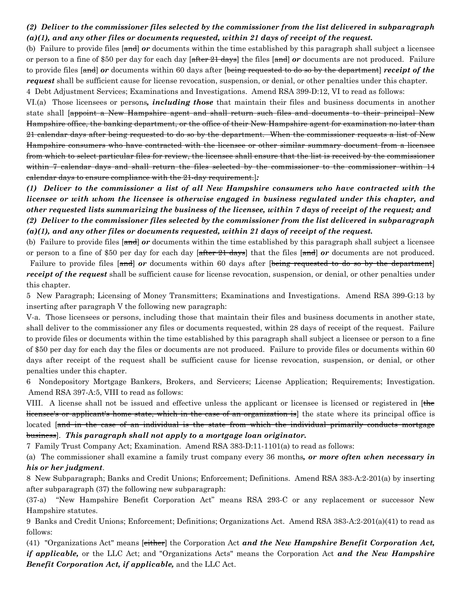# *(2) Deliver to the commissioner files selected by the commissioner from the list delivered in subparagraph (a)(1), and any other files or documents requested, within 21 days of receipt of the request.*

(b) Failure to provide files [and] *or* documents within the time established by this paragraph shall subject a licensee or person to a fine of \$50 per day for each day [after 21 days] the files [and] *or* documents are not produced. Failure to provide files [and] *or* documents within 60 days after [being requested to do so by the department] *receipt of the request* shall be sufficient cause for license revocation, suspension, or denial, or other penalties under this chapter. 4 Debt Adjustment Services; Examinations and Investigations. Amend RSA 399-D:12, VI to read as follows:

VI.(a) Those licensees or persons*, including those* that maintain their files and business documents in another state shall [appoint a New Hampshire agent and shall return such files and documents to their principal New Hampshire office, the banking department, or the office of their New Hampshire agent for examination no later than 21 calendar days after being requested to do so by the department. When the commissioner requests a list of New Hampshire consumers who have contracted with the licensee or other similar summary document from a licensee from which to select particular files for review, the licensee shall ensure that the list is received by the commissioner within 7 calendar days and shall return the files selected by the commissioner to the commissioner within 14 calendar days to ensure compliance with the 21-day requirement.]*:*

*(1) Deliver to the commissioner a list of all New Hampshire consumers who have contracted with the licensee or with whom the licensee is otherwise engaged in business regulated under this chapter, and* other requested lists summarizing the business of the licensee, within 7 days of receipt of the request; and *(2) Deliver to the commissioner files selected by the commissioner from the list delivered in subparagraph (a)(1), and any other files or documents requested, within 21 days of receipt of the request.*

(b) Failure to provide files [and] *or* documents within the time established by this paragraph shall subject a licensee or person to a fine of \$50 per day for each day [after 21 days] that the files [and] *or* documents are not produced. Failure to provide files [and] *or* documents within 60 days after [being requested to do so by the department] *receipt of the request* shall be sufficient cause for license revocation, suspension, or denial, or other penalties under this chapter.

5 New Paragraph; Licensing of Money Transmitters; Examinations and Investigations. Amend RSA 399-G:13 by inserting after paragraph V the following new paragraph:

V-a. Those licensees or persons, including those that maintain their files and business documents in another state, shall deliver to the commissioner any files or documents requested, within 28 days of receipt of the request. Failure to provide files or documents within the time established by this paragraph shall subject a licensee or person to a fine of \$50 per day for each day the files or documents are not produced. Failure to provide files or documents within 60 days after receipt of the request shall be sufficient cause for license revocation, suspension, or denial, or other penalties under this chapter.

6 Nondepository Mortgage Bankers, Brokers, and Servicers; License Application; Requirements; Investigation. Amend RSA 397-A:5, VIII to read as follows:

VIII. A license shall not be issued and effective unless the applicant or licensee is licensed or registered in [the licensee's or applicant's home state, which in the case of an organization is] the state where its principal office is located [and in the case of an individual is the state from which the individual primarily conducts mortgage business]. *This paragraph shall not apply to a mortgage loan originator.*

7 Family Trust Company Act; Examination. Amend RSA 383-D:11-1101(a) to read as follows:

(a) The commissioner shall examine a family trust company every 36 months*, or more often when necessary in his or her judgment*.

8 New Subparagraph; Banks and Credit Unions; Enforcement; Definitions. Amend RSA 383-A:2-201(a) by inserting after subparagraph (37) the following new subparagraph:

(37-a) "New Hampshire Benefit Corporation Act" means RSA 293-C or any replacement or successor New Hampshire statutes.

9 Banks and Credit Unions; Enforcement; Definitions; Organizations Act. Amend RSA 383-A:2-201(a)(41) to read as follows:

(41) "Organizations Act" means [either] the Corporation Act *and the New Hampshire Benefit Corporation Act, if applicable,* or the LLC Act; and "Organizations Acts" means the Corporation Act *and the New Hampshire Benefit Corporation Act, if applicable,* and the LLC Act.